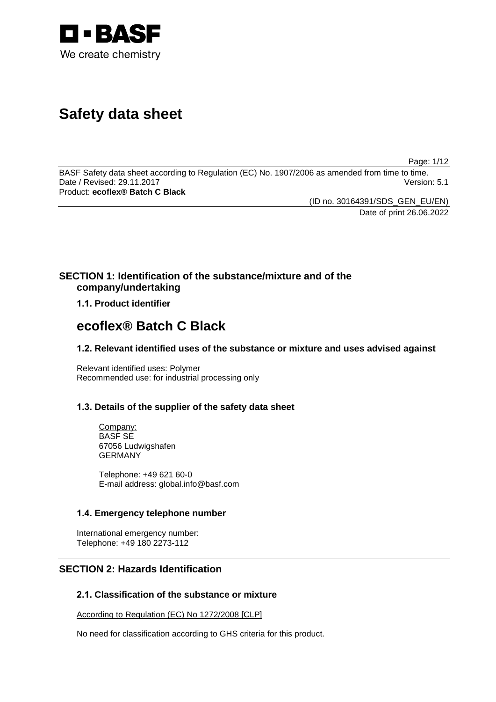

# **Safety data sheet**

Page: 1/12

BASF Safety data sheet according to Regulation (EC) No. 1907/2006 as amended from time to time. Date / Revised: 29.11.2017 Product: **ecoflex® Batch C Black**

(ID no. 30164391/SDS\_GEN\_EU/EN)

Date of print 26.06.2022

# **SECTION 1: Identification of the substance/mixture and of the company/undertaking**

**1.1. Product identifier**

# **ecoflex® Batch C Black**

# **1.2. Relevant identified uses of the substance or mixture and uses advised against**

Relevant identified uses: Polymer Recommended use: for industrial processing only

# **1.3. Details of the supplier of the safety data sheet**

Company: BASF SE 67056 Ludwigshafen GERMANY

Telephone: +49 621 60-0 E-mail address: global.info@basf.com

# **1.4. Emergency telephone number**

International emergency number: Telephone: +49 180 2273-112

# **SECTION 2: Hazards Identification**

# **2.1. Classification of the substance or mixture**

According to Regulation (EC) No 1272/2008 [CLP]

No need for classification according to GHS criteria for this product.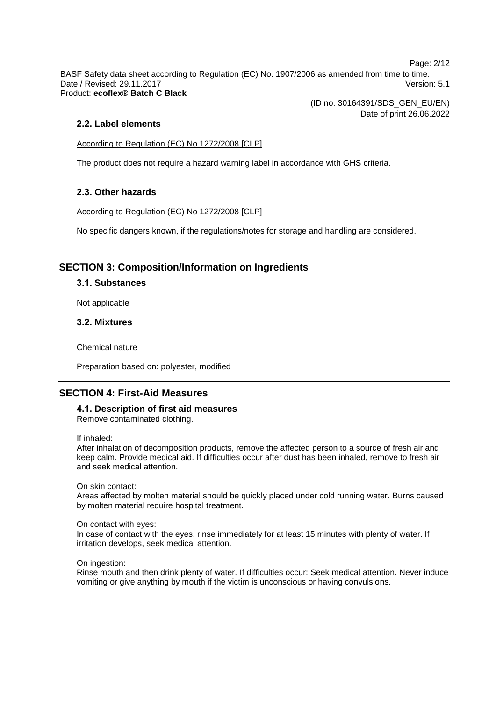Page: 2/12

BASF Safety data sheet according to Regulation (EC) No. 1907/2006 as amended from time to time. Date / Revised: 29.11.2017 **Version: 5.1** Product: **ecoflex® Batch C Black**

> (ID no. 30164391/SDS\_GEN\_EU/EN) Date of print 26.06.2022

## **2.2. Label elements**

According to Regulation (EC) No 1272/2008 [CLP]

The product does not require a hazard warning label in accordance with GHS criteria.

## **2.3. Other hazards**

According to Regulation (EC) No 1272/2008 [CLP]

No specific dangers known, if the regulations/notes for storage and handling are considered.

# **SECTION 3: Composition/Information on Ingredients**

## **3.1. Substances**

Not applicable

## **3.2. Mixtures**

Chemical nature

Preparation based on: polyester, modified

# **SECTION 4: First-Aid Measures**

# **4.1. Description of first aid measures**

Remove contaminated clothing.

If inhaled:

After inhalation of decomposition products, remove the affected person to a source of fresh air and keep calm. Provide medical aid. If difficulties occur after dust has been inhaled, remove to fresh air and seek medical attention.

On skin contact:

Areas affected by molten material should be quickly placed under cold running water. Burns caused by molten material require hospital treatment.

#### On contact with eyes:

In case of contact with the eyes, rinse immediately for at least 15 minutes with plenty of water. If irritation develops, seek medical attention.

On ingestion:

Rinse mouth and then drink plenty of water. If difficulties occur: Seek medical attention. Never induce vomiting or give anything by mouth if the victim is unconscious or having convulsions.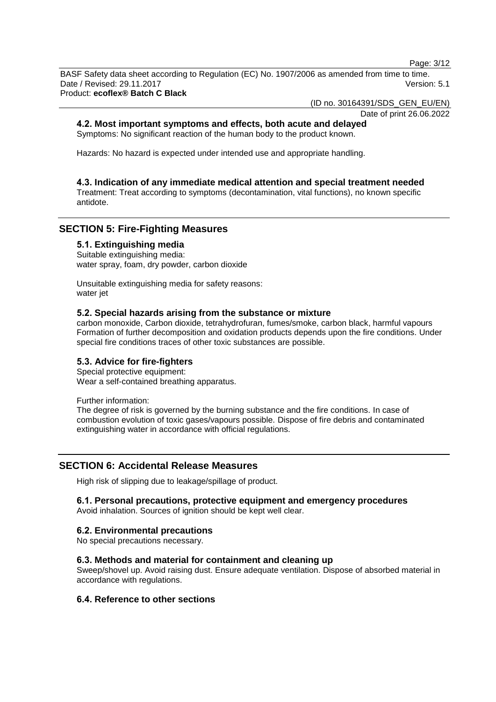Page: 3/12

BASF Safety data sheet according to Regulation (EC) No. 1907/2006 as amended from time to time. Date / Revised: 29.11.2017 **Version: 5.1** Product: **ecoflex® Batch C Black**

(ID no. 30164391/SDS\_GEN\_EU/EN)

#### Date of print 26.06.2022

## **4.2. Most important symptoms and effects, both acute and delayed**

Symptoms: No significant reaction of the human body to the product known.

Hazards: No hazard is expected under intended use and appropriate handling.

## **4.3. Indication of any immediate medical attention and special treatment needed**

Treatment: Treat according to symptoms (decontamination, vital functions), no known specific antidote.

# **SECTION 5: Fire-Fighting Measures**

## **5.1. Extinguishing media**

Suitable extinguishing media: water spray, foam, dry powder, carbon dioxide

Unsuitable extinguishing media for safety reasons: water jet

## **5.2. Special hazards arising from the substance or mixture**

carbon monoxide, Carbon dioxide, tetrahydrofuran, fumes/smoke, carbon black, harmful vapours Formation of further decomposition and oxidation products depends upon the fire conditions. Under special fire conditions traces of other toxic substances are possible.

## **5.3. Advice for fire-fighters**

Special protective equipment: Wear a self-contained breathing apparatus.

Further information:

The degree of risk is governed by the burning substance and the fire conditions. In case of combustion evolution of toxic gases/vapours possible. Dispose of fire debris and contaminated extinguishing water in accordance with official regulations.

## **SECTION 6: Accidental Release Measures**

High risk of slipping due to leakage/spillage of product.

## **6.1. Personal precautions, protective equipment and emergency procedures**

Avoid inhalation. Sources of ignition should be kept well clear.

## **6.2. Environmental precautions**

No special precautions necessary.

#### **6.3. Methods and material for containment and cleaning up**

Sweep/shovel up. Avoid raising dust. Ensure adequate ventilation. Dispose of absorbed material in accordance with regulations.

#### **6.4. Reference to other sections**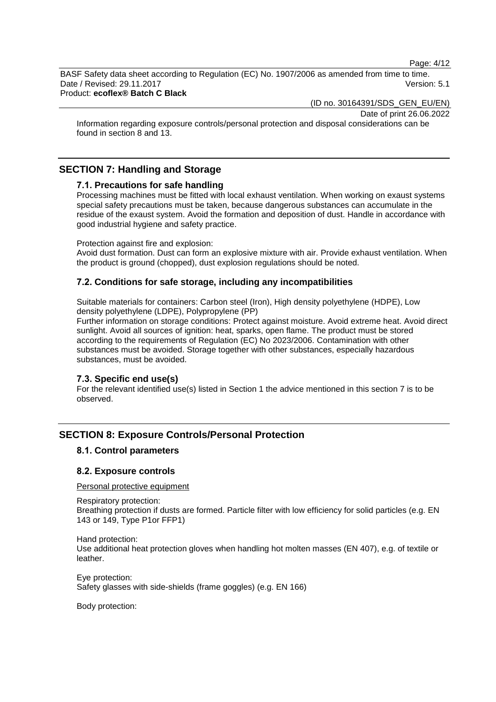Page: 4/12

BASF Safety data sheet according to Regulation (EC) No. 1907/2006 as amended from time to time. Date / Revised: 29.11.2017 **Version: 5.1** 

Product: **ecoflex® Batch C Black**

(ID no. 30164391/SDS\_GEN\_EU/EN)

Date of print 26.06.2022

Information regarding exposure controls/personal protection and disposal considerations can be found in section 8 and 13.

# **SECTION 7: Handling and Storage**

## **7.1. Precautions for safe handling**

Processing machines must be fitted with local exhaust ventilation. When working on exaust systems special safety precautions must be taken, because dangerous substances can accumulate in the residue of the exaust system. Avoid the formation and deposition of dust. Handle in accordance with good industrial hygiene and safety practice.

Protection against fire and explosion:

Avoid dust formation. Dust can form an explosive mixture with air. Provide exhaust ventilation. When the product is ground (chopped), dust explosion regulations should be noted.

## **7.2. Conditions for safe storage, including any incompatibilities**

Suitable materials for containers: Carbon steel (Iron), High density polyethylene (HDPE), Low density polyethylene (LDPE), Polypropylene (PP)

Further information on storage conditions: Protect against moisture. Avoid extreme heat. Avoid direct sunlight. Avoid all sources of ignition: heat, sparks, open flame. The product must be stored according to the requirements of Regulation (EC) No 2023/2006. Contamination with other substances must be avoided. Storage together with other substances, especially hazardous substances, must be avoided.

#### **7.3. Specific end use(s)**

For the relevant identified use(s) listed in Section 1 the advice mentioned in this section 7 is to be observed.

# **SECTION 8: Exposure Controls/Personal Protection**

#### **8.1. Control parameters**

#### **8.2. Exposure controls**

Personal protective equipment

Respiratory protection:

Breathing protection if dusts are formed. Particle filter with low efficiency for solid particles (e.g. EN 143 or 149, Type P1or FFP1)

Hand protection: Use additional heat protection gloves when handling hot molten masses (EN 407), e.g. of textile or leather.

Eye protection: Safety glasses with side-shields (frame goggles) (e.g. EN 166)

Body protection: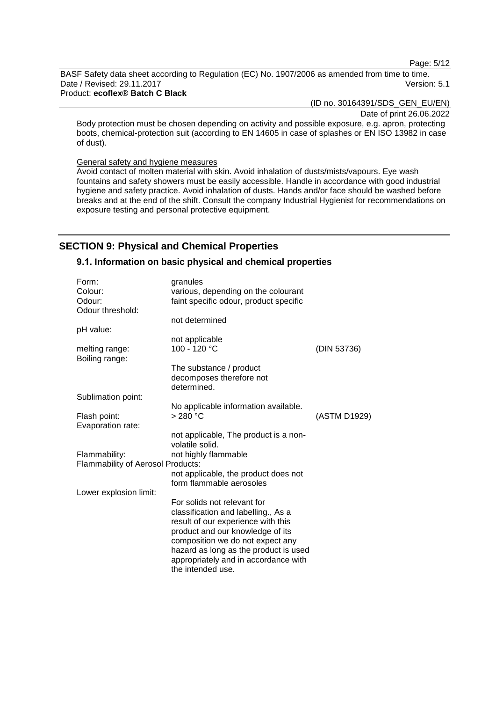Page: 5/12

BASF Safety data sheet according to Regulation (EC) No. 1907/2006 as amended from time to time. Date / Revised: 29.11.2017 Version: 5.1 Product: **ecoflex® Batch C Black**

(ID no. 30164391/SDS\_GEN\_EU/EN)

Date of print 26.06.2022

Body protection must be chosen depending on activity and possible exposure, e.g. apron, protecting boots, chemical-protection suit (according to EN 14605 in case of splashes or EN ISO 13982 in case of dust).

#### General safety and hygiene measures

Avoid contact of molten material with skin. Avoid inhalation of dusts/mists/vapours. Eye wash fountains and safety showers must be easily accessible. Handle in accordance with good industrial hygiene and safety practice. Avoid inhalation of dusts. Hands and/or face should be washed before breaks and at the end of the shift. Consult the company Industrial Hygienist for recommendations on exposure testing and personal protective equipment.

# **SECTION 9: Physical and Chemical Properties**

## **9.1. Information on basic physical and chemical properties**

| Form:                                    | granules                                |              |
|------------------------------------------|-----------------------------------------|--------------|
| Colour:                                  | various, depending on the colourant     |              |
| Odour:                                   | faint specific odour, product specific  |              |
| Odour threshold:                         |                                         |              |
|                                          | not determined                          |              |
| pH value:                                |                                         |              |
|                                          | not applicable                          |              |
| melting range:<br>Boiling range:         | 100 - 120 °C                            | (DIN 53736)  |
|                                          | The substance / product                 |              |
|                                          | decomposes therefore not<br>determined. |              |
| Sublimation point:                       |                                         |              |
|                                          | No applicable information available.    |              |
| Flash point:                             | > 280 °C                                | (ASTM D1929) |
| Evaporation rate:                        |                                         |              |
|                                          | not applicable, The product is a non-   |              |
|                                          | volatile solid.                         |              |
| Flammability:                            | not highly flammable                    |              |
| <b>Flammability of Aerosol Products:</b> |                                         |              |
|                                          | not applicable, the product does not    |              |
|                                          | form flammable aerosoles                |              |
| Lower explosion limit:                   |                                         |              |
|                                          | For solids not relevant for             |              |
|                                          | classification and labelling., As a     |              |
|                                          | result of our experience with this      |              |
|                                          | product and our knowledge of its        |              |
|                                          | composition we do not expect any        |              |
|                                          | hazard as long as the product is used   |              |
|                                          | appropriately and in accordance with    |              |
|                                          | the intended use.                       |              |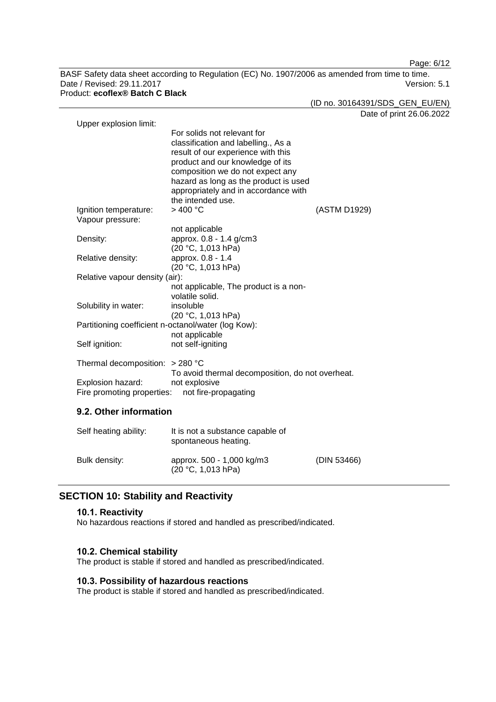Page: 6/12

BASF Safety data sheet according to Regulation (EC) No. 1907/2006 as amended from time to time. Date / Revised: 29.11.2017 Version: 5.1 Product: **ecoflex® Batch C Black**

(ID no. 30164391/SDS\_GEN\_EU/EN)

Date of print 26.06.2022

| Upper explosion limit:            |                                                     |              |  |  |
|-----------------------------------|-----------------------------------------------------|--------------|--|--|
|                                   | For solids not relevant for                         |              |  |  |
|                                   | classification and labelling., As a                 |              |  |  |
|                                   | result of our experience with this                  |              |  |  |
|                                   | product and our knowledge of its                    |              |  |  |
|                                   | composition we do not expect any                    |              |  |  |
|                                   | hazard as long as the product is used               |              |  |  |
|                                   | appropriately and in accordance with                |              |  |  |
|                                   | the intended use.                                   |              |  |  |
|                                   |                                                     |              |  |  |
| Ignition temperature:             | >400 °C                                             | (ASTM D1929) |  |  |
| Vapour pressure:                  |                                                     |              |  |  |
|                                   | not applicable                                      |              |  |  |
| Density:                          | approx. 0.8 - 1.4 g/cm3                             |              |  |  |
|                                   | (20 °C, 1,013 hPa)                                  |              |  |  |
| Relative density:                 | approx. 0.8 - 1.4                                   |              |  |  |
|                                   | (20 °C, 1,013 hPa)                                  |              |  |  |
| Relative vapour density (air):    |                                                     |              |  |  |
|                                   | not applicable, The product is a non-               |              |  |  |
|                                   | volatile solid.                                     |              |  |  |
| Solubility in water:              | insoluble                                           |              |  |  |
|                                   | (20 °C, 1,013 hPa)                                  |              |  |  |
|                                   | Partitioning coefficient n-octanol/water (log Kow): |              |  |  |
|                                   |                                                     |              |  |  |
|                                   | not applicable                                      |              |  |  |
| Self ignition:                    | not self-igniting                                   |              |  |  |
|                                   |                                                     |              |  |  |
| Thermal decomposition: $> 280$ °C |                                                     |              |  |  |
|                                   | To avoid thermal decomposition, do not overheat.    |              |  |  |
| Explosion hazard:                 | not explosive                                       |              |  |  |
| Fire promoting properties:        | not fire-propagating                                |              |  |  |
|                                   |                                                     |              |  |  |
| 9.2. Other information            |                                                     |              |  |  |
| Self heating ability:             | It is not a substance capable of                    |              |  |  |
|                                   | spontaneous heating.                                |              |  |  |
|                                   |                                                     |              |  |  |

#### Bulk density: approx. 500 - 1,000 kg/m3  $(20 °C, 1,013 hPa)$ (DIN 53466)

# **SECTION 10: Stability and Reactivity**

## **10.1. Reactivity**

No hazardous reactions if stored and handled as prescribed/indicated.

## **10.2. Chemical stability**

The product is stable if stored and handled as prescribed/indicated.

# **10.3. Possibility of hazardous reactions**

The product is stable if stored and handled as prescribed/indicated.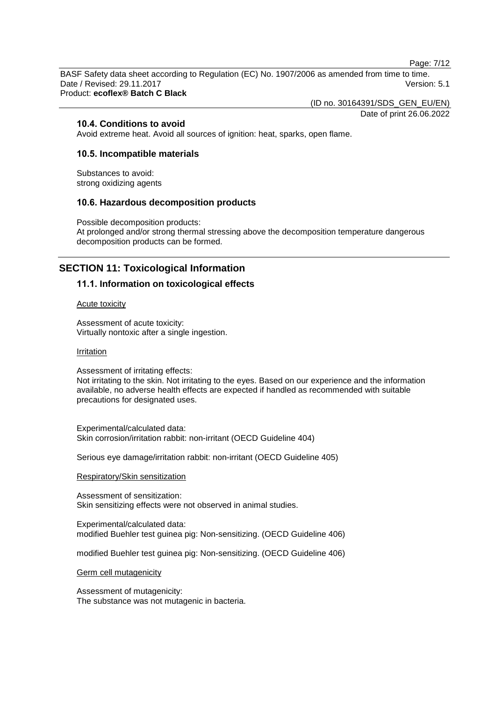Page: 7/12

BASF Safety data sheet according to Regulation (EC) No. 1907/2006 as amended from time to time. Date / Revised: 29.11.2017 **Version: 5.1** Product: **ecoflex® Batch C Black**

(ID no. 30164391/SDS\_GEN\_EU/EN)

Date of print 26.06.2022

#### **10.4. Conditions to avoid**

Avoid extreme heat. Avoid all sources of ignition: heat, sparks, open flame.

## **10.5. Incompatible materials**

Substances to avoid: strong oxidizing agents

## **10.6. Hazardous decomposition products**

Possible decomposition products: At prolonged and/or strong thermal stressing above the decomposition temperature dangerous decomposition products can be formed.

# **SECTION 11: Toxicological Information**

## **11.1. Information on toxicological effects**

Acute toxicity

Assessment of acute toxicity: Virtually nontoxic after a single ingestion.

#### Irritation

Assessment of irritating effects: Not irritating to the skin. Not irritating to the eyes. Based on our experience and the information available, no adverse health effects are expected if handled as recommended with suitable precautions for designated uses.

Experimental/calculated data: Skin corrosion/irritation rabbit: non-irritant (OECD Guideline 404)

Serious eye damage/irritation rabbit: non-irritant (OECD Guideline 405)

#### Respiratory/Skin sensitization

Assessment of sensitization: Skin sensitizing effects were not observed in animal studies.

Experimental/calculated data: modified Buehler test guinea pig: Non-sensitizing. (OECD Guideline 406)

modified Buehler test guinea pig: Non-sensitizing. (OECD Guideline 406)

Germ cell mutagenicity

Assessment of mutagenicity: The substance was not mutagenic in bacteria.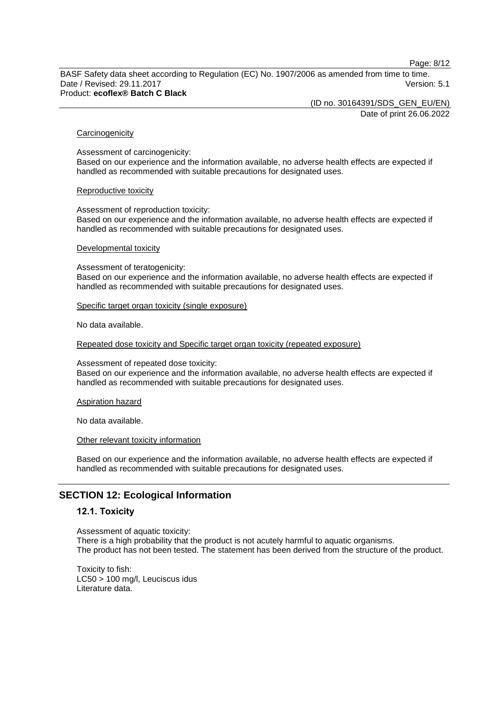Page: 8/12

BASF Safety data sheet according to Regulation (EC) No. 1907/2006 as amended from time to time. Date / Revised: 29.11.2017 **Version: 5.1** Product: **ecoflex® Batch C Black**

> (ID no. 30164391/SDS\_GEN\_EU/EN) Date of print 26.06.2022

#### **Carcinogenicity**

Assessment of carcinogenicity: Based on our experience and the information available, no adverse health effects are expected if handled as recommended with suitable precautions for designated uses.

#### Reproductive toxicity

Assessment of reproduction toxicity: Based on our experience and the information available, no adverse health effects are expected if handled as recommended with suitable precautions for designated uses.

#### Developmental toxicity

Assessment of teratogenicity: Based on our experience and the information available, no adverse health effects are expected if handled as recommended with suitable precautions for designated uses.

#### Specific target organ toxicity (single exposure)

No data available.

Repeated dose toxicity and Specific target organ toxicity (repeated exposure)

Assessment of repeated dose toxicity:

Based on our experience and the information available, no adverse health effects are expected if handled as recommended with suitable precautions for designated uses.

#### Aspiration hazard

No data available.

#### Other relevant toxicity information

Based on our experience and the information available, no adverse health effects are expected if handled as recommended with suitable precautions for designated uses.

# **SECTION 12: Ecological Information**

## **12.1. Toxicity**

Assessment of aquatic toxicity: There is a high probability that the product is not acutely harmful to aquatic organisms. The product has not been tested. The statement has been derived from the structure of the product.

Toxicity to fish: LC50 > 100 mg/l, Leuciscus idus Literature data.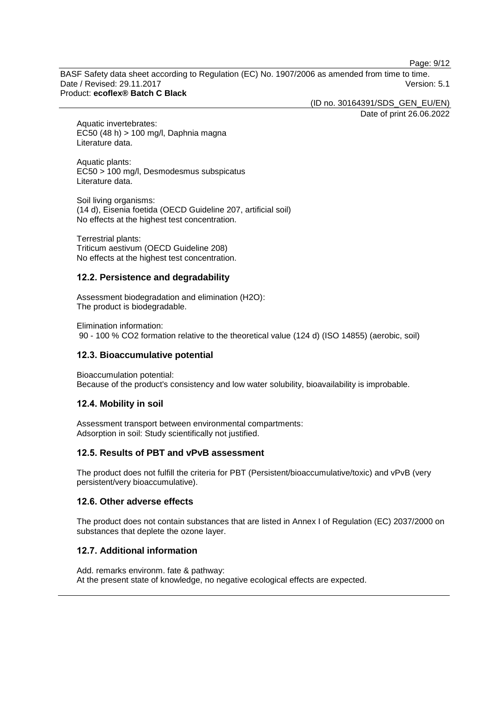Page: 9/12

BASF Safety data sheet according to Regulation (EC) No. 1907/2006 as amended from time to time. Date / Revised: 29.11.2017 **Version: 5.1** Product: **ecoflex® Batch C Black**

(ID no. 30164391/SDS\_GEN\_EU/EN)

Date of print 26.06.2022

Aquatic invertebrates: EC50 (48 h) > 100 mg/l, Daphnia magna Literature data.

Aquatic plants: EC50 > 100 mg/l, Desmodesmus subspicatus Literature data.

Soil living organisms: (14 d), Eisenia foetida (OECD Guideline 207, artificial soil) No effects at the highest test concentration.

Terrestrial plants: Triticum aestivum (OECD Guideline 208) No effects at the highest test concentration.

## **12.2. Persistence and degradability**

Assessment biodegradation and elimination (H2O): The product is biodegradable.

Elimination information: 90 - 100 % CO2 formation relative to the theoretical value (124 d) (ISO 14855) (aerobic, soil)

# **12.3. Bioaccumulative potential**

Bioaccumulation potential: Because of the product's consistency and low water solubility, bioavailability is improbable.

# **12.4. Mobility in soil**

Assessment transport between environmental compartments: Adsorption in soil: Study scientifically not justified.

# **12.5. Results of PBT and vPvB assessment**

The product does not fulfill the criteria for PBT (Persistent/bioaccumulative/toxic) and vPvB (very persistent/very bioaccumulative).

## **12.6. Other adverse effects**

The product does not contain substances that are listed in Annex I of Regulation (EC) 2037/2000 on substances that deplete the ozone layer.

# **12.7. Additional information**

Add. remarks environm. fate & pathway: At the present state of knowledge, no negative ecological effects are expected.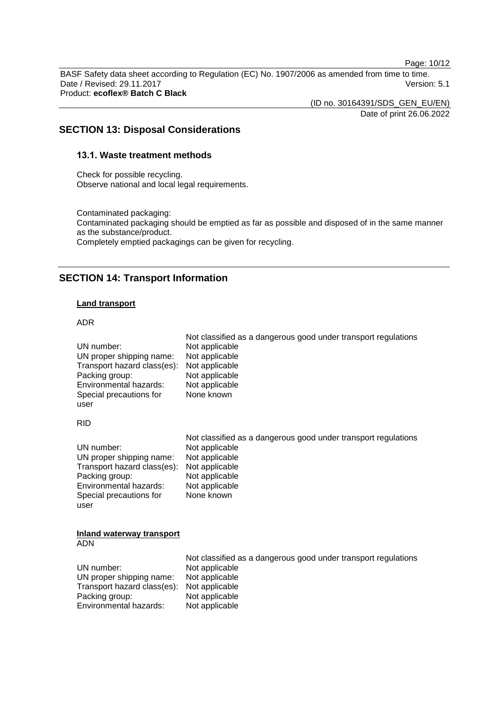Page: 10/12

BASF Safety data sheet according to Regulation (EC) No. 1907/2006 as amended from time to time. Date / Revised: 29.11.2017 **Version: 5.1** Product: **ecoflex® Batch C Black**

> (ID no. 30164391/SDS\_GEN\_EU/EN) Date of print 26.06.2022

# **SECTION 13: Disposal Considerations**

# **13.1. Waste treatment methods**

Check for possible recycling. Observe national and local legal requirements.

Contaminated packaging: Contaminated packaging should be emptied as far as possible and disposed of in the same manner as the substance/product. Completely emptied packagings can be given for recycling.

# **SECTION 14: Transport Information**

#### **Land transport**

#### ADR

| UN number:<br>UN proper shipping name:<br>Transport hazard class(es):<br>Packing group:<br>Environmental hazards:<br>Special precautions for<br>user | Not classified as a dangerous good under transport regulations<br>Not applicable<br>Not applicable<br>Not applicable<br>Not applicable<br>Not applicable<br>None known |
|------------------------------------------------------------------------------------------------------------------------------------------------------|------------------------------------------------------------------------------------------------------------------------------------------------------------------------|
| <b>RID</b>                                                                                                                                           |                                                                                                                                                                        |
| UN number:<br>UN proper shipping name:<br>Transport hazard class(es):<br>Packing group:<br>Environmental hazards:<br>Special precautions for<br>user | Not classified as a dangerous good under transport regulations<br>Not applicable<br>Not applicable<br>Not applicable<br>Not applicable<br>Not applicable<br>None known |
| Inland waterway transport<br><b>ADN</b>                                                                                                              |                                                                                                                                                                        |
| UN number:<br>UN proper shipping name:<br>Transport hazard class(es):<br>Packing group:<br>Environmental hazards:                                    | Not classified as a dangerous good under transport regulations<br>Not applicable<br>Not applicable<br>Not applicable<br>Not applicable<br>Not applicable               |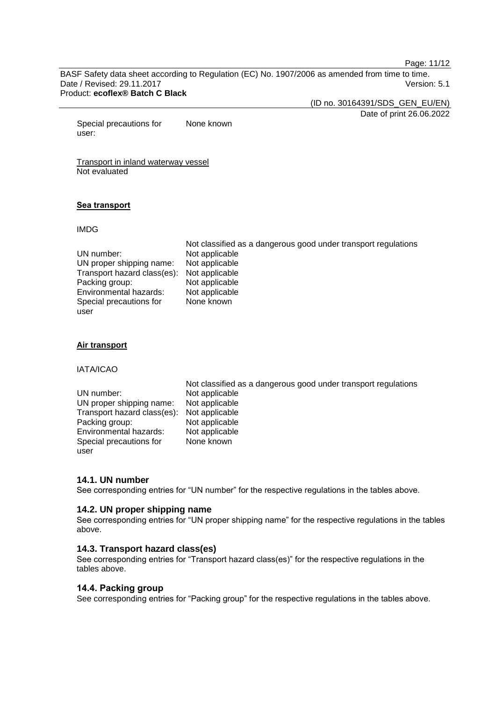Page: 11/12

BASF Safety data sheet according to Regulation (EC) No. 1907/2006 as amended from time to time. Date / Revised: 29.11.2017 Version: 5.1 Product: **ecoflex® Batch C Black**

(ID no. 30164391/SDS\_GEN\_EU/EN)

Date of print 26.06.2022

Special precautions for user: None known

Transport in inland waterway vessel Not evaluated

## **Sea transport**

#### IMDG

|                                            | Not classified as a dangerous good under transport regulations |
|--------------------------------------------|----------------------------------------------------------------|
| UN number:                                 | Not applicable                                                 |
| UN proper shipping name:                   | Not applicable                                                 |
| Transport hazard class(es): Not applicable |                                                                |
| Packing group:                             | Not applicable                                                 |
| Environmental hazards:                     | Not applicable                                                 |
| Special precautions for                    | None known                                                     |
| user                                       |                                                                |

#### **Air transport**

IATA/ICAO

|                                            | Not classified as a dangerous good under transport regulations |
|--------------------------------------------|----------------------------------------------------------------|
| UN number:                                 | Not applicable                                                 |
| UN proper shipping name:                   | Not applicable                                                 |
| Transport hazard class(es): Not applicable |                                                                |
| Packing group:                             | Not applicable                                                 |
| Environmental hazards:                     | Not applicable                                                 |
| Special precautions for                    | None known                                                     |
| user                                       |                                                                |

## **14.1. UN number**

See corresponding entries for "UN number" for the respective regulations in the tables above.

#### **14.2. UN proper shipping name**

See corresponding entries for "UN proper shipping name" for the respective regulations in the tables above.

## **14.3. Transport hazard class(es)**

See corresponding entries for "Transport hazard class(es)" for the respective regulations in the tables above.

# **14.4. Packing group**

See corresponding entries for "Packing group" for the respective regulations in the tables above.